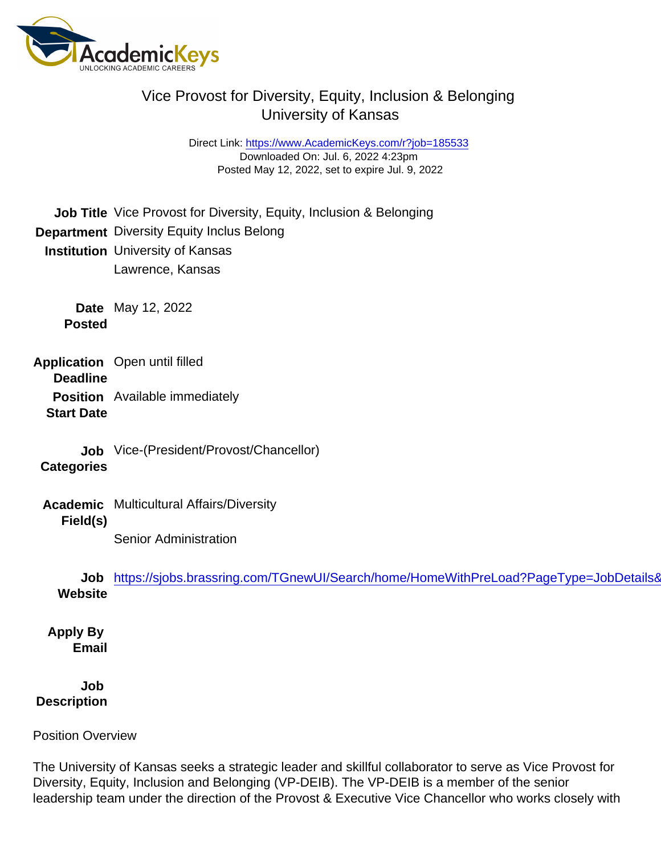Direct Link: <https://www.AcademicKeys.com/r?job=185533> Downloaded On: Jul. 6, 2022 4:23pm Posted May 12, 2022, set to expire Jul. 9, 2022

Job Title Vice Provost for Diversity, Equity, Inclusion & Belonging Department Diversity Equity Inclus Belong Institution University of Kansas Lawrence, Kansas Date May 12, 2022 Posted

Application Deadline Open until filled Position Available immediately

Start Date

Job Vice-(President/Provost/Chancellor)

**Categories** 

Academic Field(s) Multicultural Affairs/Diversity

Senior Administration

Job **Website** https://sjobs.brassring.com/TGnewUI/Search/home/HomeWithPreLoad?PageType=JobDetails&

Apply By Email

Job **Description** 

Position Overview

The University of Kansas seeks a strategic leader and skillful collaborator to serve as Vice Provost for Diversity, Equity, Inclusion and Belonging (VP-DEIB). The VP-DEIB is a member of the senior leadership team under the direction of the Provost & Executive Vice Chancellor who works closely with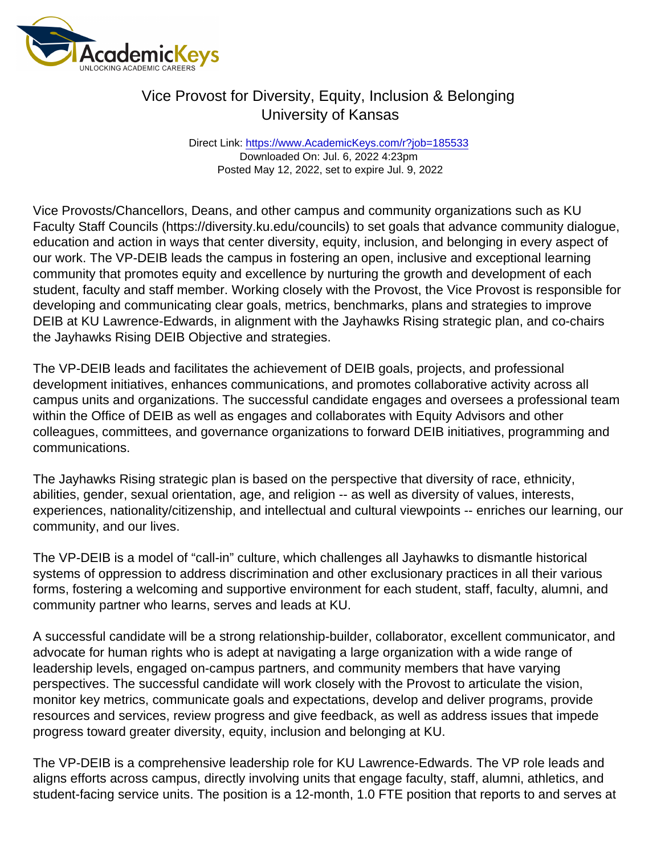Direct Link: <https://www.AcademicKeys.com/r?job=185533> Downloaded On: Jul. 6, 2022 4:23pm Posted May 12, 2022, set to expire Jul. 9, 2022

Vice Provosts/Chancellors, Deans, and other campus and community organizations such as KU Faculty Staff Councils (https://diversity.ku.edu/councils) to set goals that advance community dialogue, education and action in ways that center diversity, equity, inclusion, and belonging in every aspect of our work. The VP-DEIB leads the campus in fostering an open, inclusive and exceptional learning community that promotes equity and excellence by nurturing the growth and development of each student, faculty and staff member. Working closely with the Provost, the Vice Provost is responsible for developing and communicating clear goals, metrics, benchmarks, plans and strategies to improve DEIB at KU Lawrence-Edwards, in alignment with the Jayhawks Rising strategic plan, and co-chairs the Jayhawks Rising DEIB Objective and strategies.

The VP-DEIB leads and facilitates the achievement of DEIB goals, projects, and professional development initiatives, enhances communications, and promotes collaborative activity across all campus units and organizations. The successful candidate engages and oversees a professional team within the Office of DEIB as well as engages and collaborates with Equity Advisors and other colleagues, committees, and governance organizations to forward DEIB initiatives, programming and communications.

The Jayhawks Rising strategic plan is based on the perspective that diversity of race, ethnicity, abilities, gender, sexual orientation, age, and religion -- as well as diversity of values, interests, experiences, nationality/citizenship, and intellectual and cultural viewpoints -- enriches our learning, our community, and our lives.

The VP-DEIB is a model of "call-in" culture, which challenges all Jayhawks to dismantle historical systems of oppression to address discrimination and other exclusionary practices in all their various forms, fostering a welcoming and supportive environment for each student, staff, faculty, alumni, and community partner who learns, serves and leads at KU.

A successful candidate will be a strong relationship-builder, collaborator, excellent communicator, and advocate for human rights who is adept at navigating a large organization with a wide range of leadership levels, engaged on-campus partners, and community members that have varying perspectives. The successful candidate will work closely with the Provost to articulate the vision, monitor key metrics, communicate goals and expectations, develop and deliver programs, provide resources and services, review progress and give feedback, as well as address issues that impede progress toward greater diversity, equity, inclusion and belonging at KU.

The VP-DEIB is a comprehensive leadership role for KU Lawrence-Edwards. The VP role leads and aligns efforts across campus, directly involving units that engage faculty, staff, alumni, athletics, and student-facing service units. The position is a 12-month, 1.0 FTE position that reports to and serves at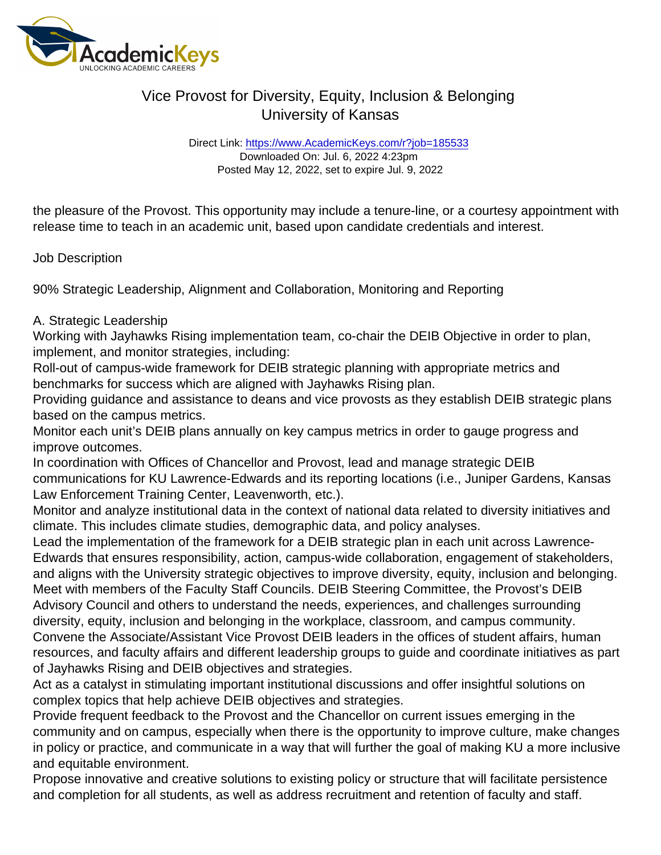Direct Link: <https://www.AcademicKeys.com/r?job=185533> Downloaded On: Jul. 6, 2022 4:23pm Posted May 12, 2022, set to expire Jul. 9, 2022

the pleasure of the Provost. This opportunity may include a tenure-line, or a courtesy appointment with release time to teach in an academic unit, based upon candidate credentials and interest.

Job Description

90% Strategic Leadership, Alignment and Collaboration, Monitoring and Reporting

#### A. Strategic Leadership

Working with Jayhawks Rising implementation team, co-chair the DEIB Objective in order to plan, implement, and monitor strategies, including:

Roll-out of campus-wide framework for DEIB strategic planning with appropriate metrics and benchmarks for success which are aligned with Jayhawks Rising plan.

Providing guidance and assistance to deans and vice provosts as they establish DEIB strategic plans based on the campus metrics.

Monitor each unit's DEIB plans annually on key campus metrics in order to gauge progress and improve outcomes.

In coordination with Offices of Chancellor and Provost, lead and manage strategic DEIB communications for KU Lawrence-Edwards and its reporting locations (i.e., Juniper Gardens, Kansas Law Enforcement Training Center, Leavenworth, etc.).

Monitor and analyze institutional data in the context of national data related to diversity initiatives and climate. This includes climate studies, demographic data, and policy analyses.

Lead the implementation of the framework for a DEIB strategic plan in each unit across Lawrence-Edwards that ensures responsibility, action, campus-wide collaboration, engagement of stakeholders, and aligns with the University strategic objectives to improve diversity, equity, inclusion and belonging. Meet with members of the Faculty Staff Councils. DEIB Steering Committee, the Provost's DEIB Advisory Council and others to understand the needs, experiences, and challenges surrounding diversity, equity, inclusion and belonging in the workplace, classroom, and campus community. Convene the Associate/Assistant Vice Provost DEIB leaders in the offices of student affairs, human resources, and faculty affairs and different leadership groups to guide and coordinate initiatives as part of Jayhawks Rising and DEIB objectives and strategies.

Act as a catalyst in stimulating important institutional discussions and offer insightful solutions on complex topics that help achieve DEIB objectives and strategies.

Provide frequent feedback to the Provost and the Chancellor on current issues emerging in the community and on campus, especially when there is the opportunity to improve culture, make changes in policy or practice, and communicate in a way that will further the goal of making KU a more inclusive and equitable environment.

Propose innovative and creative solutions to existing policy or structure that will facilitate persistence and completion for all students, as well as address recruitment and retention of faculty and staff.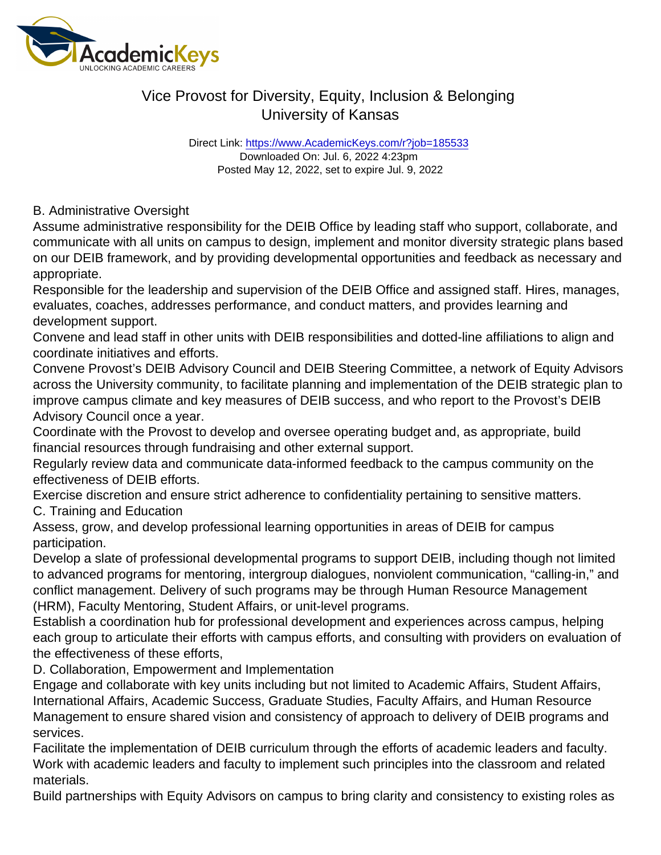Direct Link: <https://www.AcademicKeys.com/r?job=185533> Downloaded On: Jul. 6, 2022 4:23pm Posted May 12, 2022, set to expire Jul. 9, 2022

B. Administrative Oversight

Assume administrative responsibility for the DEIB Office by leading staff who support, collaborate, and communicate with all units on campus to design, implement and monitor diversity strategic plans based on our DEIB framework, and by providing developmental opportunities and feedback as necessary and appropriate.

Responsible for the leadership and supervision of the DEIB Office and assigned staff. Hires, manages, evaluates, coaches, addresses performance, and conduct matters, and provides learning and development support.

Convene and lead staff in other units with DEIB responsibilities and dotted-line affiliations to align and coordinate initiatives and efforts.

Convene Provost's DEIB Advisory Council and DEIB Steering Committee, a network of Equity Advisors across the University community, to facilitate planning and implementation of the DEIB strategic plan to improve campus climate and key measures of DEIB success, and who report to the Provost's DEIB Advisory Council once a year.

Coordinate with the Provost to develop and oversee operating budget and, as appropriate, build financial resources through fundraising and other external support.

Regularly review data and communicate data-informed feedback to the campus community on the effectiveness of DEIB efforts.

Exercise discretion and ensure strict adherence to confidentiality pertaining to sensitive matters. C. Training and Education

Assess, grow, and develop professional learning opportunities in areas of DEIB for campus participation.

Develop a slate of professional developmental programs to support DEIB, including though not limited to advanced programs for mentoring, intergroup dialogues, nonviolent communication, "calling-in," and conflict management. Delivery of such programs may be through Human Resource Management (HRM), Faculty Mentoring, Student Affairs, or unit-level programs.

Establish a coordination hub for professional development and experiences across campus, helping each group to articulate their efforts with campus efforts, and consulting with providers on evaluation of the effectiveness of these efforts,

D. Collaboration, Empowerment and Implementation

Engage and collaborate with key units including but not limited to Academic Affairs, Student Affairs, International Affairs, Academic Success, Graduate Studies, Faculty Affairs, and Human Resource Management to ensure shared vision and consistency of approach to delivery of DEIB programs and services.

Facilitate the implementation of DEIB curriculum through the efforts of academic leaders and faculty. Work with academic leaders and faculty to implement such principles into the classroom and related materials.

Build partnerships with Equity Advisors on campus to bring clarity and consistency to existing roles as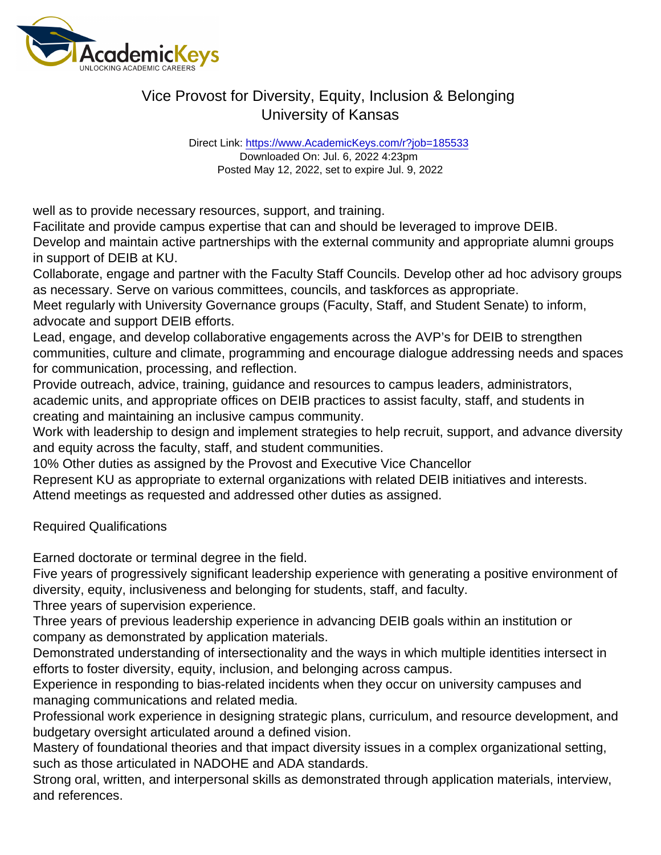Direct Link: <https://www.AcademicKeys.com/r?job=185533> Downloaded On: Jul. 6, 2022 4:23pm Posted May 12, 2022, set to expire Jul. 9, 2022

well as to provide necessary resources, support, and training.

Facilitate and provide campus expertise that can and should be leveraged to improve DEIB.

Develop and maintain active partnerships with the external community and appropriate alumni groups in support of DEIB at KU.

Collaborate, engage and partner with the Faculty Staff Councils. Develop other ad hoc advisory groups as necessary. Serve on various committees, councils, and taskforces as appropriate.

Meet regularly with University Governance groups (Faculty, Staff, and Student Senate) to inform, advocate and support DEIB efforts.

Lead, engage, and develop collaborative engagements across the AVP's for DEIB to strengthen communities, culture and climate, programming and encourage dialogue addressing needs and spaces for communication, processing, and reflection.

Provide outreach, advice, training, guidance and resources to campus leaders, administrators, academic units, and appropriate offices on DEIB practices to assist faculty, staff, and students in creating and maintaining an inclusive campus community.

Work with leadership to design and implement strategies to help recruit, support, and advance diversity and equity across the faculty, staff, and student communities.

10% Other duties as assigned by the Provost and Executive Vice Chancellor

Represent KU as appropriate to external organizations with related DEIB initiatives and interests. Attend meetings as requested and addressed other duties as assigned.

Required Qualifications

Earned doctorate or terminal degree in the field.

Five years of progressively significant leadership experience with generating a positive environment of diversity, equity, inclusiveness and belonging for students, staff, and faculty.

Three years of supervision experience.

Three years of previous leadership experience in advancing DEIB goals within an institution or company as demonstrated by application materials.

Demonstrated understanding of intersectionality and the ways in which multiple identities intersect in efforts to foster diversity, equity, inclusion, and belonging across campus.

Experience in responding to bias-related incidents when they occur on university campuses and managing communications and related media.

Professional work experience in designing strategic plans, curriculum, and resource development, and budgetary oversight articulated around a defined vision.

Mastery of foundational theories and that impact diversity issues in a complex organizational setting, such as those articulated in NADOHE and ADA standards.

Strong oral, written, and interpersonal skills as demonstrated through application materials, interview, and references.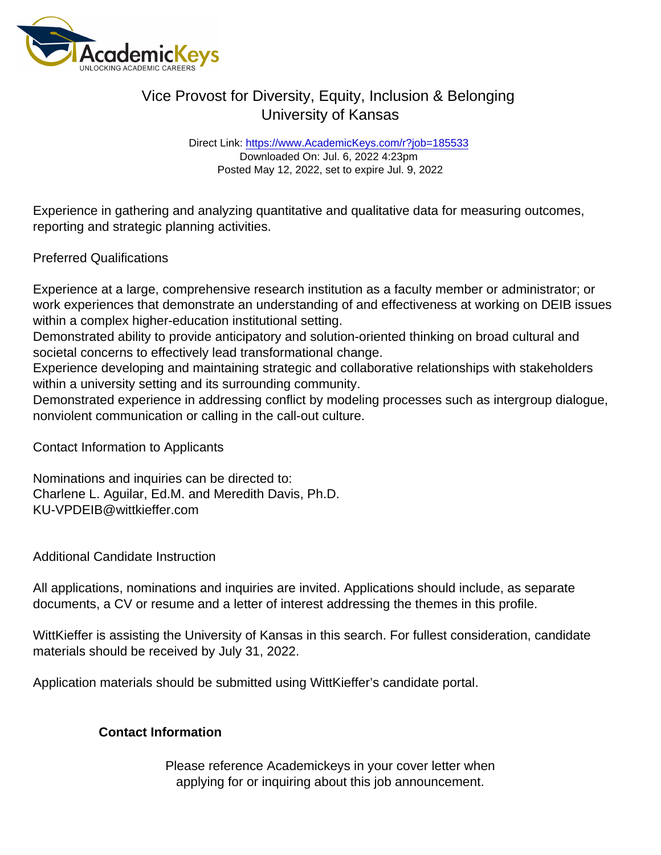Direct Link: <https://www.AcademicKeys.com/r?job=185533> Downloaded On: Jul. 6, 2022 4:23pm Posted May 12, 2022, set to expire Jul. 9, 2022

Experience in gathering and analyzing quantitative and qualitative data for measuring outcomes, reporting and strategic planning activities.

Preferred Qualifications

Experience at a large, comprehensive research institution as a faculty member or administrator; or work experiences that demonstrate an understanding of and effectiveness at working on DEIB issues within a complex higher-education institutional setting.

Demonstrated ability to provide anticipatory and solution-oriented thinking on broad cultural and societal concerns to effectively lead transformational change.

Experience developing and maintaining strategic and collaborative relationships with stakeholders within a university setting and its surrounding community.

Demonstrated experience in addressing conflict by modeling processes such as intergroup dialogue, nonviolent communication or calling in the call-out culture.

Contact Information to Applicants

Nominations and inquiries can be directed to: Charlene L. Aguilar, Ed.M. and Meredith Davis, Ph.D. KU-VPDEIB@wittkieffer.com

Additional Candidate Instruction

All applications, nominations and inquiries are invited. Applications should include, as separate documents, a CV or resume and a letter of interest addressing the themes in this profile.

WittKieffer is assisting the University of Kansas in this search. For fullest consideration, candidate materials should be received by July 31, 2022.

Application materials should be submitted using WittKieffer's candidate portal.

Contact Information

Please reference Academickeys in your cover letter when applying for or inquiring about this job announcement.